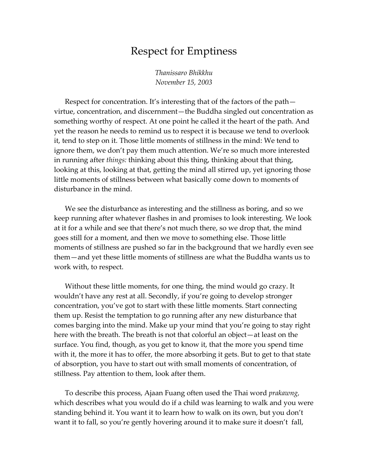## Respect for Emptiness

*Thanissaro Bhikkhu November 15, 2003* 

Respect for concentration. It's interesting that of the factors of the path virtue, concentration, and discernment—the Buddha singled out concentration as something worthy of respect. At one point he called it the heart of the path. And yet the reason he needs to remind us to respect it is because we tend to overlook it, tend to step on it. Those little moments of stillness in the mind: We tend to ignore them, we don't pay them much attention. We're so much more interested in running after *things:* thinking about this thing, thinking about that thing, looking at this, looking at that, getting the mind all stirred up, yet ignoring those little moments of stillness between what basically come down to moments of disturbance in the mind.

We see the disturbance as interesting and the stillness as boring, and so we keep running after whatever flashes in and promises to look interesting. We look at it for a while and see that there's not much there, so we drop that, the mind goes still for a moment, and then we move to something else. Those little moments of stillness are pushed so far in the background that we hardly even see them—and yet these little moments of stillness are what the Buddha wants us to work with, to respect.

Without these little moments, for one thing, the mind would go crazy. It wouldn't have any rest at all. Secondly, if you're going to develop stronger concentration, you've got to start with these little moments. Start connecting them up. Resist the temptation to go running after any new disturbance that comes barging into the mind. Make up your mind that you're going to stay right here with the breath. The breath is not that colorful an object—at least on the surface. You find, though, as you get to know it, that the more you spend time with it, the more it has to offer, the more absorbing it gets. But to get to that state of absorption, you have to start out with small moments of concentration, of stillness. Pay attention to them, look after them.

To describe this process, Ajaan Fuang often used the Thai word *prakawng,*  which describes what you would do if a child was learning to walk and you were standing behind it. You want it to learn how to walk on its own, but you don't want it to fall, so you're gently hovering around it to make sure it doesn't fall,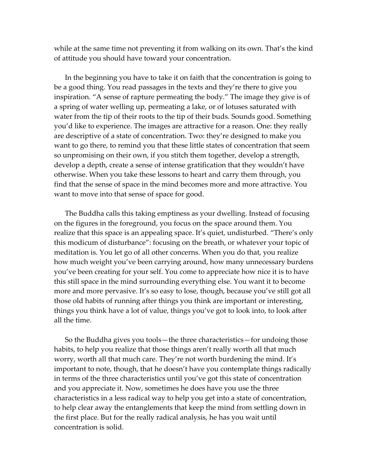while at the same time not preventing it from walking on its own. That's the kind of attitude you should have toward your concentration.

In the beginning you have to take it on faith that the concentration is going to be a good thing. You read passages in the texts and they're there to give you inspiration. "A sense of rapture permeating the body." The image they give is of a spring of water welling up, permeating a lake, or of lotuses saturated with water from the tip of their roots to the tip of their buds. Sounds good. Something you'd like to experience. The images are attractive for a reason. One: they really are descriptive of a state of concentration. Two: they're designed to make you want to go there, to remind you that these little states of concentration that seem so unpromising on their own, if you stitch them together, develop a strength, develop a depth, create a sense of intense gratification that they wouldn't have otherwise. When you take these lessons to heart and carry them through, you find that the sense of space in the mind becomes more and more attractive. You want to move into that sense of space for good.

The Buddha calls this taking emptiness as your dwelling. Instead of focusing on the figures in the foreground, you focus on the space around them. You realize that this space is an appealing space. It's quiet, undisturbed. "There's only this modicum of disturbance": focusing on the breath, or whatever your topic of meditation is. You let go of all other concerns. When you do that, you realize how much weight you've been carrying around, how many unnecessary burdens you've been creating for your self. You come to appreciate how nice it is to have this still space in the mind surrounding everything else. You want it to become more and more pervasive. It's so easy to lose, though, because you've still got all those old habits of running after things you think are important or interesting, things you think have a lot of value, things you've got to look into, to look after all the time.

So the Buddha gives you tools—the three characteristics—for undoing those habits, to help you realize that those things aren't really worth all that much worry, worth all that much care. They're not worth burdening the mind. It's important to note, though, that he doesn't have you contemplate things radically in terms of the three characteristics until you've got this state of concentration and you appreciate it. Now, sometimes he does have you use the three characteristics in a less radical way to help you get into a state of concentration, to help clear away the entanglements that keep the mind from settling down in the first place. But for the really radical analysis, he has you wait until concentration is solid.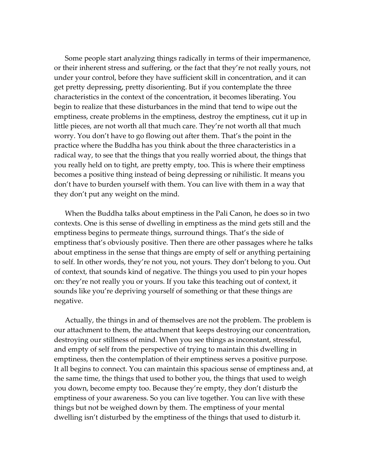Some people start analyzing things radically in terms of their impermanence, or their inherent stress and suffering, or the fact that they're not really yours, not under your control, before they have sufficient skill in concentration, and it can get pretty depressing, pretty disorienting. But if you contemplate the three characteristics in the context of the concentration, it becomes liberating. You begin to realize that these disturbances in the mind that tend to wipe out the emptiness, create problems in the emptiness, destroy the emptiness, cut it up in little pieces, are not worth all that much care. They're not worth all that much worry. You don't have to go flowing out after them. That's the point in the practice where the Buddha has you think about the three characteristics in a radical way, to see that the things that you really worried about, the things that you really held on to tight, are pretty empty, too. This is where their emptiness becomes a positive thing instead of being depressing or nihilistic. It means you don't have to burden yourself with them. You can live with them in a way that they don't put any weight on the mind.

When the Buddha talks about emptiness in the Pali Canon, he does so in two contexts. One is this sense of dwelling in emptiness as the mind gets still and the emptiness begins to permeate things, surround things. That's the side of emptiness that's obviously positive. Then there are other passages where he talks about emptiness in the sense that things are empty of self or anything pertaining to self. In other words, they're not you, not yours. They don't belong to you. Out of context, that sounds kind of negative. The things you used to pin your hopes on: they're not really you or yours. If you take this teaching out of context, it sounds like you're depriving yourself of something or that these things are negative.

Actually, the things in and of themselves are not the problem. The problem is our attachment to them, the attachment that keeps destroying our concentration, destroying our stillness of mind. When you see things as inconstant, stressful, and empty of self from the perspective of trying to maintain this dwelling in emptiness, then the contemplation of their emptiness serves a positive purpose. It all begins to connect. You can maintain this spacious sense of emptiness and, at the same time, the things that used to bother you, the things that used to weigh you down, become empty too. Because they're empty, they don't disturb the emptiness of your awareness. So you can live together. You can live with these things but not be weighed down by them. The emptiness of your mental dwelling isn't disturbed by the emptiness of the things that used to disturb it.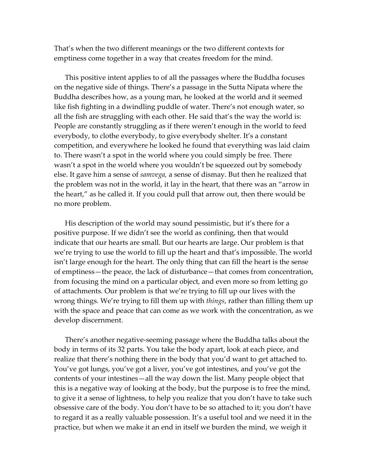That's when the two different meanings or the two different contexts for emptiness come together in a way that creates freedom for the mind.

This positive intent applies to of all the passages where the Buddha focuses on the negative side of things. There's a passage in the Sutta Nipata where the Buddha describes how, as a young man, he looked at the world and it seemed like fish fighting in a dwindling puddle of water. There's not enough water, so all the fish are struggling with each other. He said that's the way the world is: People are constantly struggling as if there weren't enough in the world to feed everybody, to clothe everybody, to give everybody shelter. It's a constant competition, and everywhere he looked he found that everything was laid claim to. There wasn't a spot in the world where you could simply be free. There wasn't a spot in the world where you wouldn't be squeezed out by somebody else. It gave him a sense of *samvega,* a sense of dismay. But then he realized that the problem was not in the world, it lay in the heart, that there was an "arrow in the heart," as he called it. If you could pull that arrow out, then there would be no more problem.

His description of the world may sound pessimistic, but it's there for a positive purpose. If we didn't see the world as confining, then that would indicate that our hearts are small. But our hearts are large. Our problem is that we're trying to use the world to fill up the heart and that's impossible. The world isn't large enough for the heart. The only thing that can fill the heart is the sense of emptiness—the peace, the lack of disturbance—that comes from concentration, from focusing the mind on a particular object, and even more so from letting go of attachments. Our problem is that we're trying to fill up our lives with the wrong things. We're trying to fill them up with *things*, rather than filling them up with the space and peace that can come as we work with the concentration, as we develop discernment.

There's another negative-seeming passage where the Buddha talks about the body in terms of its 32 parts. You take the body apart, look at each piece, and realize that there's nothing there in the body that you'd want to get attached to. You've got lungs, you've got a liver, you've got intestines, and you've got the contents of your intestines—all the way down the list. Many people object that this is a negative way of looking at the body, but the purpose is to free the mind, to give it a sense of lightness, to help you realize that you don't have to take such obsessive care of the body. You don't have to be so attached to it; you don't have to regard it as a really valuable possession. It's a useful tool and we need it in the practice, but when we make it an end in itself we burden the mind, we weigh it